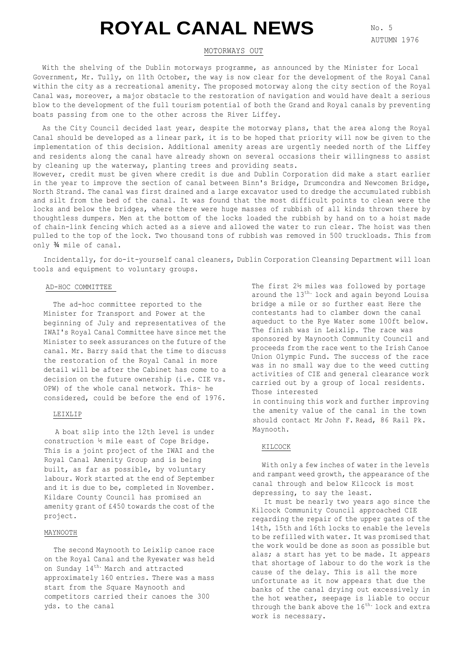# **ROYAL CANAL NEWS**

# MOTORWAYS OUT

With the shelving of the Dublin motorways programme, as announced by the Minister for Local Government, Mr. Tully, on 11th October, the way is now clear for the development of the Royal Canal within the city as a recreational amenity. The proposed motorway along the city section of the Royal Canal was, moreover, a major obstacle to the restoration of navigation and would have dealt a serious blow to the development of the full tourism potential of both the Grand and Royal canals by preventing boats passing from one to the other across the River Liffey.

As the City Council decided last year, despite the motorway plans, that the area along the Royal Canal should be developed as a linear park, it is to be hoped that priority will now be given to the implementation of this decision. Additional amenity areas are urgently needed north of the Liffey and residents along the canal have already shown on several occasions their willingness to assist by cleaning up the waterway, planting trees and providing seats.

However, credit must be given where credit is due and Dublin Corporation did make a start earlier in the year to improve the section of canal between Binn's Bridge, Drumcondra and Newcomen Bridge, North Strand. The canal was first drained and a large excavator used to dredge the accumulated rubbish and silt from the bed of the canal. It was found that the most difficult points to clean were the locks and below the bridges, where there were huge masses of rubbish of all kinds thrown there by thoughtless dumpers. Men at the bottom of the locks loaded the rubbish by hand on to a hoist made of chain-link fencing which acted as a sieve and allowed the water to run clear. The hoist was then pulled to the top of the lock. Two thousand tons of rubbish was removed in 500 truckloads. This from only ¾ mile of canal.

Incidentally, for do-it-yourself canal cleaners, Dublin Corporation Cleansing Department will loan tools and equipment to voluntary groups.

#### AD-HOC COMMITTEE

The ad-hoc committee reported to the Minister for Transport and Power at the beginning of July and representatives of the IWAI's Royal Canal Committee have since met the Minister to seek assurances on the future of the canal. Mr. Barry said that the time to discuss the restoration of the Royal Canal in more detail will be after the Cabinet has come to a decision on the future ownership (i.e. CIE vs. OPW) of the whole canal network. This~ he considered, could be before the end of 1976.

## LEIXLIP

A boat slip into the 12th level is under construction ½ mile east of Cope Bridge. This is a joint project of the IWAI and the Royal Canal Amenity Group and is being built, as far as possible, by voluntary labour. Work started at the end of September and it is due to be, completed in November. Kildare County Council has promised an amenity grant of £450 towards the cost of the project.

# MAYNOOTH

The second Maynooth to Leixlip canoe race on the Royal Canal and the Ryewater was held on Sunday 14<sup>th.</sup> March and attracted approximately 160 entries. There was a mass start from the Square Maynooth and competitors carried their canoes the 300 yds. to the canal

The first 2½ miles was followed by portage around the 13<sup>th.</sup> lock and again beyond Louisa bridge a mile or so further east Here the contestants had to clamber down the canal aqueduct to the Rye Water some 100ft below. The finish was in Leixlip. The race was sponsored by Maynooth Community Council and proceeds from the race went to the Irish Canoe Union Olympic Fund. The success of the race was in no small way due to the weed cutting activities of CIE and general clearance work carried out by a group of local residents. Those interested

in continuing this work and further improving the amenity value of the canal in the town should contact Mr John F. Read, 86 Rail Pk. Maynooth.

#### KILCOCK

With only a few inches of water in the levels and rampant weed growth, the appearance of the canal through and below Kilcock is most depressing, to say the least.

It must be nearly two years ago since the Kilcock Community Council approached CIE regarding the repair of the upper gates of the 14th, 15th and 16th locks to enable the levels to be refilled with water. It was promised that the work would be done as soon as possible but alas; a start has yet to be made. It appears that shortage of labour to do the work is the cause of the delay. This is all the more unfortunate as it now appears that due the banks of the canal drying out excessively in the hot weather, seepage is liable to occur through the bank above the  $16^{th}$ . lock and extra work is necessary.